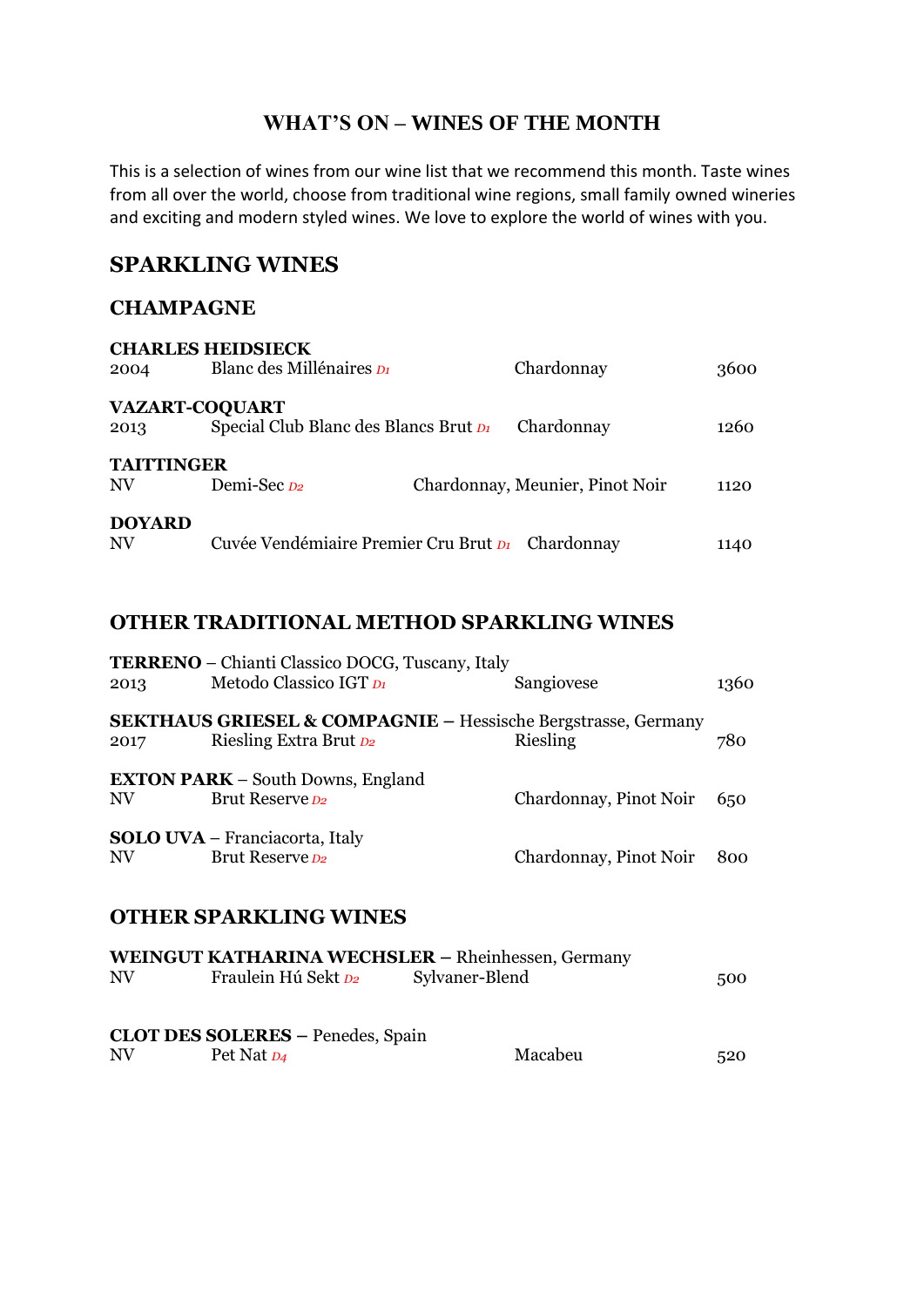### **WHAT'S ON – WINES OF THE MONTH**

This is a selection of wines from our wine list that we recommend this month. Taste wines from all over the world, choose from traditional wine regions, small family owned wineries and exciting and modern styled wines. We love to explore the world of wines with you.

### **SPARKLING WINES**

#### **CHAMPAGNE**

| 2004                    | <b>CHARLES HEIDSIECK</b><br>Blanc des Millénaires Di           | Chardonnay                      | 3600 |
|-------------------------|----------------------------------------------------------------|---------------------------------|------|
| 2013                    | <b>VAZART-COQUART</b><br>Special Club Blanc des Blancs Brut D1 | Chardonnay                      | 1260 |
| <b>TAITTINGER</b><br>NV | Demi-Sec <sub>D2</sub>                                         | Chardonnay, Meunier, Pinot Noir | 1120 |
| <b>DOYARD</b><br>NV     | Cuvée Vendémiaire Premier Cru Brut D1 Chardonnay               |                                 | 1140 |

### **OTHER TRADITIONAL METHOD SPARKLING WINES**

| 2013 | <b>TERRENO</b> – Chianti Classico DOCG, Tuscany, Italy<br>Metodo Classico IGT D1                   | Sangiovese             | 1360 |
|------|----------------------------------------------------------------------------------------------------|------------------------|------|
| 2017 | <b>SEKTHAUS GRIESEL &amp; COMPAGNIE - Hessische Bergstrasse, Germany</b><br>Riesling Extra Brut D2 | Riesling               | 780  |
| NV   | <b>EXTON PARK</b> – South Downs, England<br>Brut Reserve <sub>D2</sub>                             | Chardonnay, Pinot Noir | 650  |
| NV   | <b>SOLO UVA</b> – Franciacorta, Italy<br>Brut Reserve D2                                           | Chardonnay, Pinot Noir | 800  |
|      |                                                                                                    |                        |      |

### **OTHER SPARKLING WINES**

|    |                                          | WEINGUT KATHARINA WECHSLER - Rheinhessen, Germany |     |
|----|------------------------------------------|---------------------------------------------------|-----|
| NV | Fraulein Hú Sekt D2                      | Sylvaner-Blend                                    | 500 |
|    |                                          |                                                   |     |
|    | <b>CLOT DES SOLERES - Penedes, Spain</b> |                                                   |     |
| NV | Pet Nat D4                               | Macabeu                                           | 520 |
|    |                                          |                                                   |     |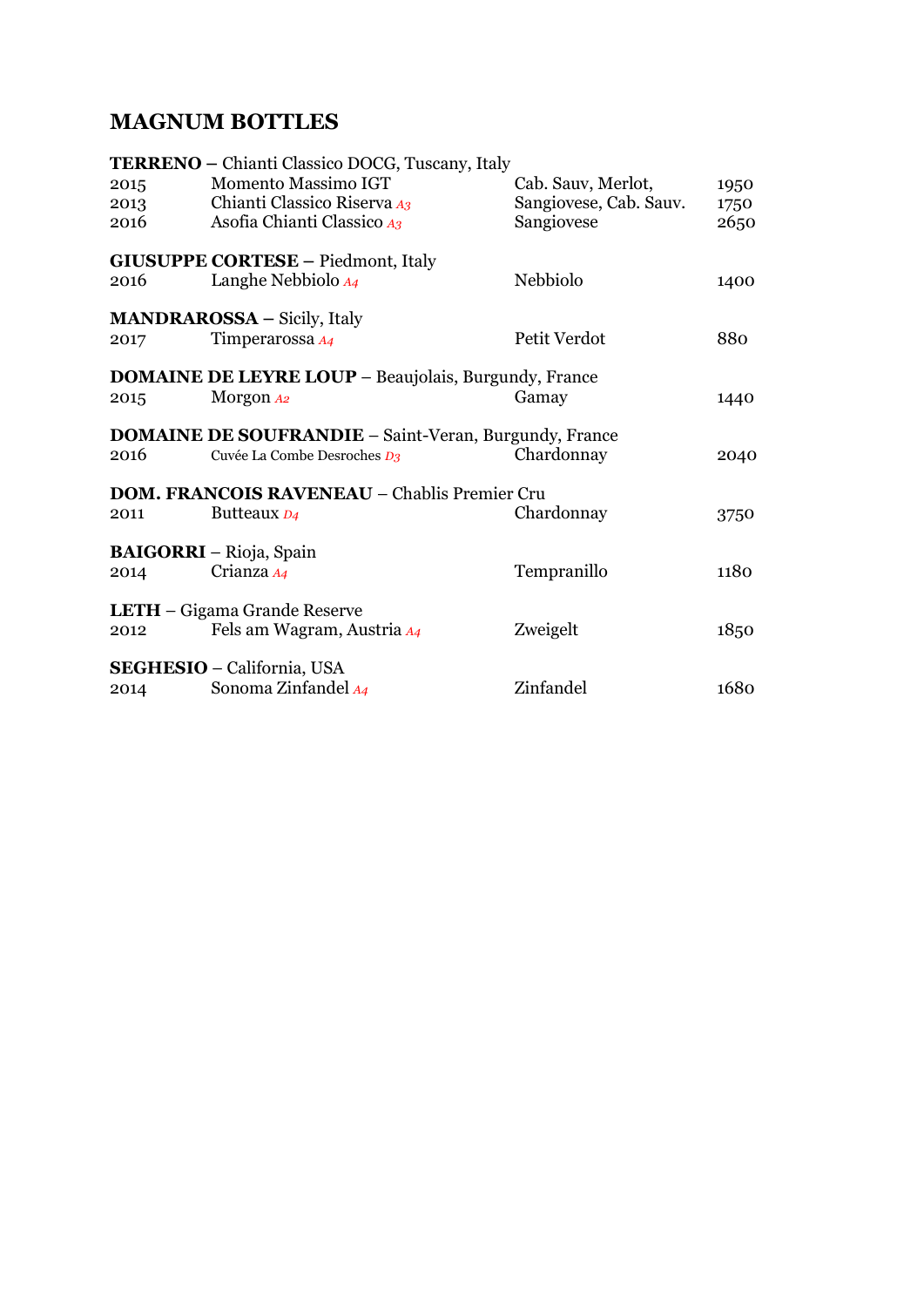## **MAGNUM BOTTLES**

|      | <b>TERRENO</b> – Chianti Classico DOCG, Tuscany, Italy       |                        |      |  |  |
|------|--------------------------------------------------------------|------------------------|------|--|--|
| 2015 | Momento Massimo IGT                                          | Cab. Sauv, Merlot,     | 1950 |  |  |
| 2013 | Chianti Classico Riserva A3                                  | Sangiovese, Cab. Sauv. | 1750 |  |  |
| 2016 | Asofia Chianti Classico A3                                   | Sangiovese             | 2650 |  |  |
|      | <b>GIUSUPPE CORTESE - Piedmont, Italy</b>                    |                        |      |  |  |
| 2016 | Langhe Nebbiolo $A_4$                                        | Nebbiolo               | 1400 |  |  |
|      | <b>MANDRAROSSA</b> – Sicily, Italy                           |                        |      |  |  |
| 2017 | Timperarossa A4                                              | Petit Verdot           | 880  |  |  |
|      |                                                              |                        |      |  |  |
|      | <b>DOMAINE DE LEYRE LOUP - Beaujolais, Burgundy, France</b>  |                        |      |  |  |
| 2015 | Morgon A2                                                    | Gamay                  | 1440 |  |  |
|      | <b>DOMAINE DE SOUFRANDIE – Saint-Veran, Burgundy, France</b> |                        |      |  |  |
| 2016 | Cuvée La Combe Desroches D <sub>3</sub>                      | Chardonnay             | 2040 |  |  |
|      | <b>DOM. FRANCOIS RAVENEAU – Chablis Premier Cru</b>          |                        |      |  |  |
| 2011 | Butteaux D <sub>4</sub>                                      | Chardonnay             | 3750 |  |  |
|      |                                                              |                        |      |  |  |
|      | <b>BAIGORRI</b> – Rioja, Spain                               |                        |      |  |  |
| 2014 | Crianza A4                                                   | Tempranillo            | 1180 |  |  |
|      | LETH - Gigama Grande Reserve                                 |                        |      |  |  |
| 2012 | Fels am Wagram, Austria A4                                   | Zweigelt               | 1850 |  |  |
|      | SEGHESIO - California, USA                                   |                        |      |  |  |
| 2014 | Sonoma Zinfandel A4                                          | Zinfandel              | 1680 |  |  |
|      |                                                              |                        |      |  |  |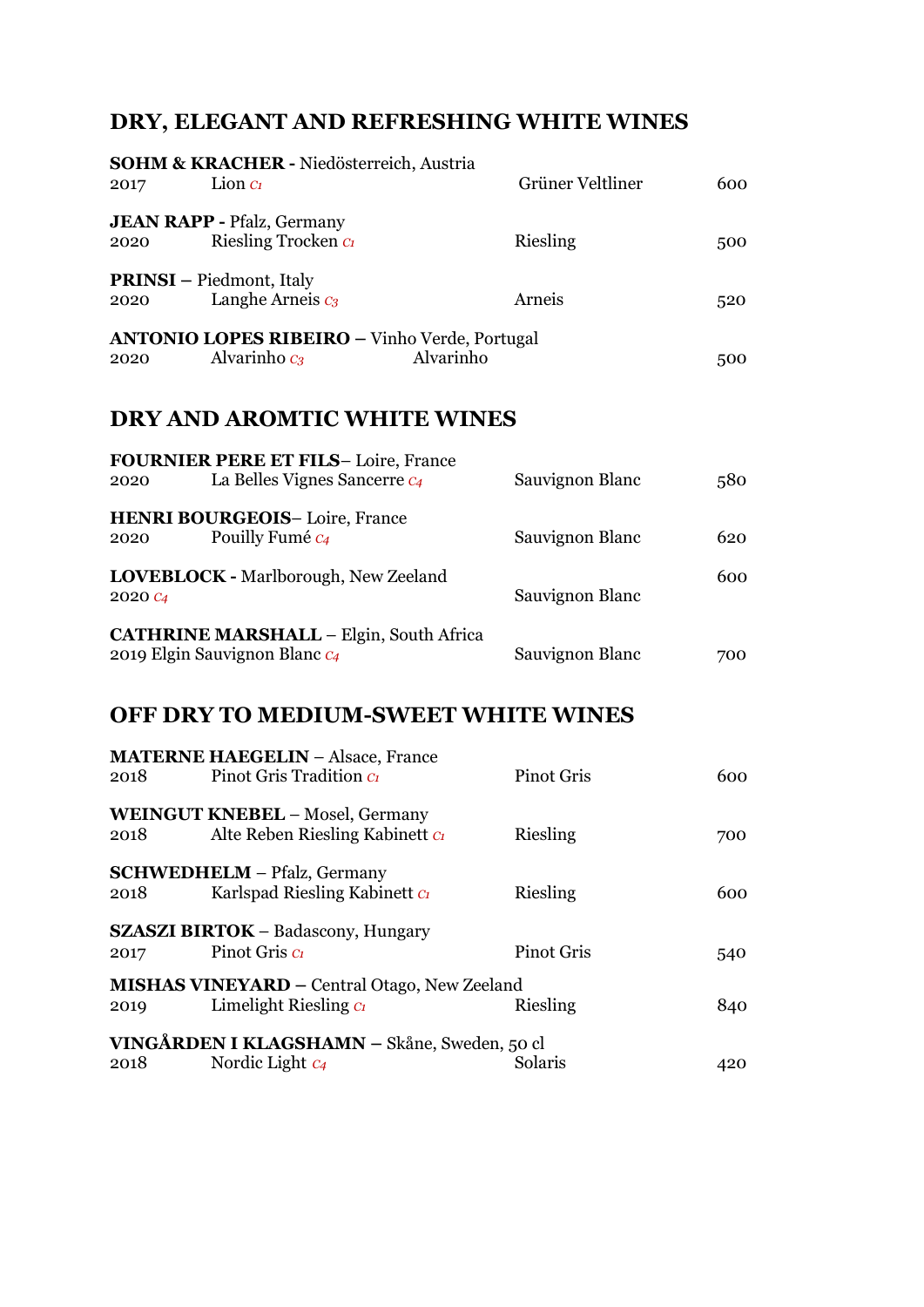# **DRY, ELEGANT AND REFRESHING WHITE WINES**

| 2017                | <b>SOHM &amp; KRACHER - Niedösterreich, Austria</b><br>Lion $C_1$                    | Grüner Veltliner  | 600 |
|---------------------|--------------------------------------------------------------------------------------|-------------------|-----|
|                     |                                                                                      |                   |     |
| 2020                | <b>JEAN RAPP - Pfalz, Germany</b><br>Riesling Trocken C                              | Riesling          | 500 |
| 2020                | <b>PRINSI</b> - Piedmont, Italy<br>Langhe Arneis $c_3$                               | Arneis            | 520 |
| 2020                | <b>ANTONIO LOPES RIBEIRO - Vinho Verde, Portugal</b><br>Alvarinho $c_3$<br>Alvarinho |                   | 500 |
|                     | <b>DRY AND AROMTIC WHITE WINES</b>                                                   |                   |     |
| 2020                | <b>FOURNIER PERE ET FILS-Loire, France</b><br>La Belles Vignes Sancerre $c_4$        | Sauvignon Blanc   | 580 |
| 2020                | <b>HENRI BOURGEOIS-Loire, France</b><br>Pouilly Fumé C4                              | Sauvignon Blanc   | 620 |
| 2020 C <sub>4</sub> | LOVEBLOCK - Marlborough, New Zeeland                                                 | Sauvignon Blanc   | 600 |
|                     | <b>CATHRINE MARSHALL - Elgin, South Africa</b><br>2019 Elgin Sauvignon Blanc C4      | Sauvignon Blanc   | 700 |
|                     | <b>OFF DRY TO MEDIUM-SWEET WHITE WINES</b>                                           |                   |     |
| 2018                | <b>MATERNE HAEGELIN - Alsace, France</b><br>Pinot Gris Tradition Ct                  | <b>Pinot Gris</b> | 600 |
| 2018                | <b>WEINGUT KNEBEL - Mosel, Germany</b><br>Alte Reben Riesling Kabinett CI            | Riesling          | 700 |
| 2018                | <b>SCHWEDHELM</b> - Pfalz, Germany<br>Karlspad Riesling Kabinett Ct                  | Riesling          | 600 |
| 2017                | <b>SZASZI BIRTOK – Badascony, Hungary</b><br>Pinot Gris C                            | <b>Pinot Gris</b> | 540 |
| 2019                | <b>MISHAS VINEYARD - Central Otago, New Zeeland</b><br>Limelight Riesling $C_1$      | Riesling          | 840 |
| 2018                | VINGÅRDEN I KLAGSHAMN – Skåne, Sweden, 50 cl<br>Nordic Light $c_4$                   | Solaris           | 420 |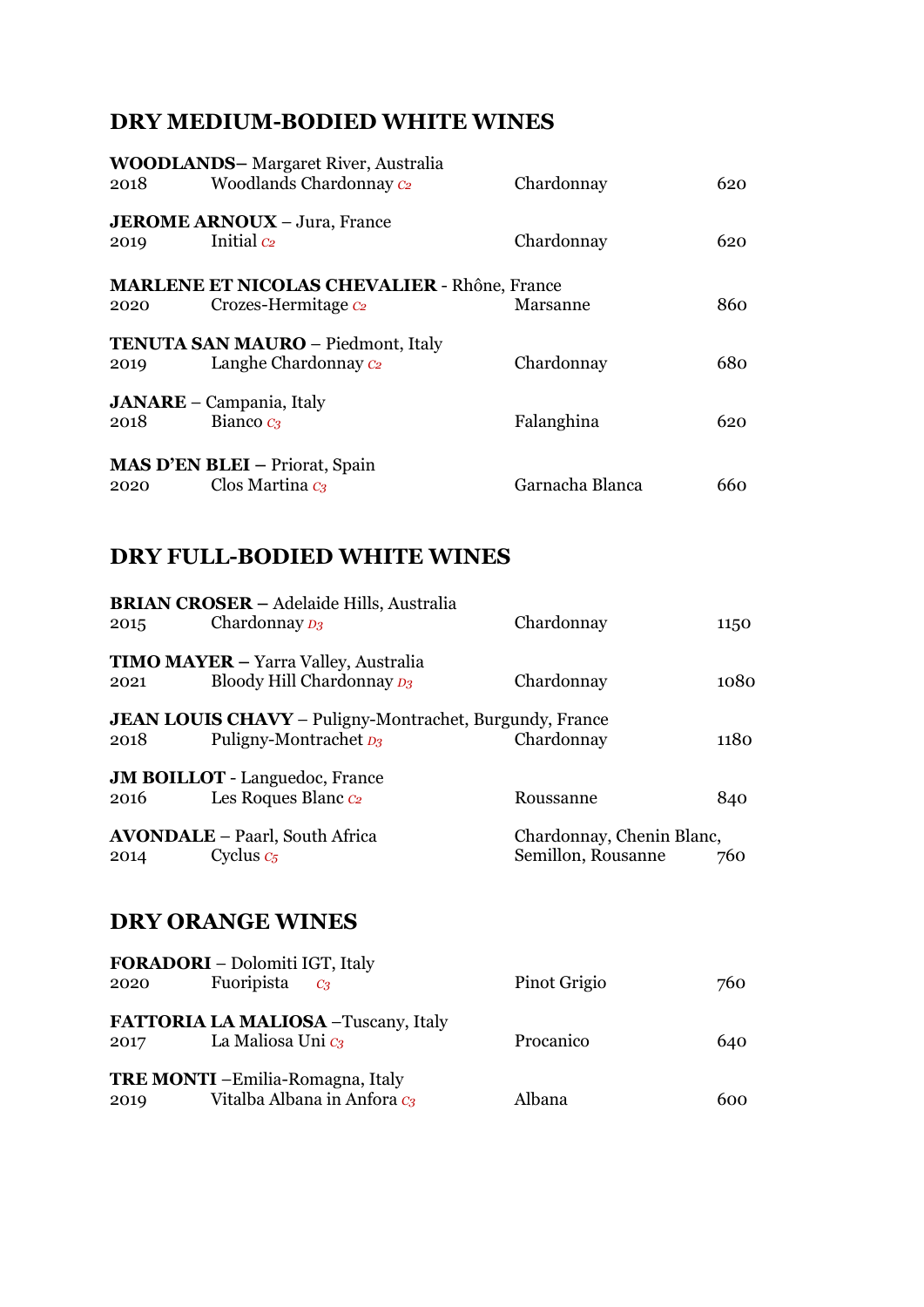### **DRY MEDIUM-BODIED WHITE WINES**

|      | <b>WOODLANDS-</b> Margaret River, Australia         |                 |     |
|------|-----------------------------------------------------|-----------------|-----|
| 2018 | Woodlands Chardonnay C2                             | Chardonnay      | 620 |
| 2019 | <b>JEROME ARNOUX</b> – Jura, France<br>Initial $c2$ | Chardonnay      | 620 |
|      | <b>MARLENE ET NICOLAS CHEVALIER - Rhône, France</b> |                 |     |
| 2020 | Crozes-Hermitage C <sub>2</sub>                     | Marsanne        | 860 |
|      | <b>TENUTA SAN MAURO - Piedmont, Italy</b>           |                 |     |
| 2019 | Langhe Chardonnay $c_2$                             | Chardonnay      | 680 |
|      | <b>JANARE</b> – Campania, Italy                     |                 |     |
| 2018 | Bianco $c_3$                                        | Falanghina      | 620 |
|      |                                                     |                 |     |
|      | <b>MAS D'EN BLEI</b> – Priorat, Spain               |                 |     |
| 2020 | Clos Martina $c_3$                                  | Garnacha Blanca | 660 |

## **DRY FULL-BODIED WHITE WINES**

| 2015 | <b>BRIAN CROSER - Adelaide Hills, Australia</b><br>Chardonnay <sub>D3</sub>                   | Chardonnay                                      | 1150 |
|------|-----------------------------------------------------------------------------------------------|-------------------------------------------------|------|
| 2021 | <b>TIMO MAYER</b> – Yarra Valley, Australia<br>Bloody Hill Chardonnay D <sub>3</sub>          | Chardonnay                                      | 1080 |
| 2018 | <b>JEAN LOUIS CHAVY</b> – Puligny-Montrachet, Burgundy, France<br>Puligny-Montrachet $_{D_3}$ | Chardonnay                                      | 1180 |
| 2016 | <b>JM BOILLOT</b> - Languedoc, France<br>Les Roques Blanc C <sub>2</sub>                      | Roussanne                                       | 840  |
| 2014 | <b>AVONDALE</b> – Paarl, South Africa<br>Cyclus $c_5$                                         | Chardonnay, Chenin Blanc,<br>Semillon, Rousanne | 760  |

## **DRY ORANGE WINES**

|      | <b>FORADORI</b> – Dolomiti IGT, Italy    |              |     |
|------|------------------------------------------|--------------|-----|
| 2020 | Fuoripista $c_3$                         | Pinot Grigio | 760 |
|      |                                          |              |     |
|      | FATTORIA LA MALIOSA - Tuscany, Italy     |              |     |
| 2017 | La Maliosa Uni c <sub>3</sub>            | Procanico    | 640 |
|      |                                          |              |     |
|      | <b>TRE MONTI</b> - Emilia-Romagna, Italy |              |     |
| 2019 | Vitalba Albana in Anfora C <sub>3</sub>  | Albana       | 600 |
|      |                                          |              |     |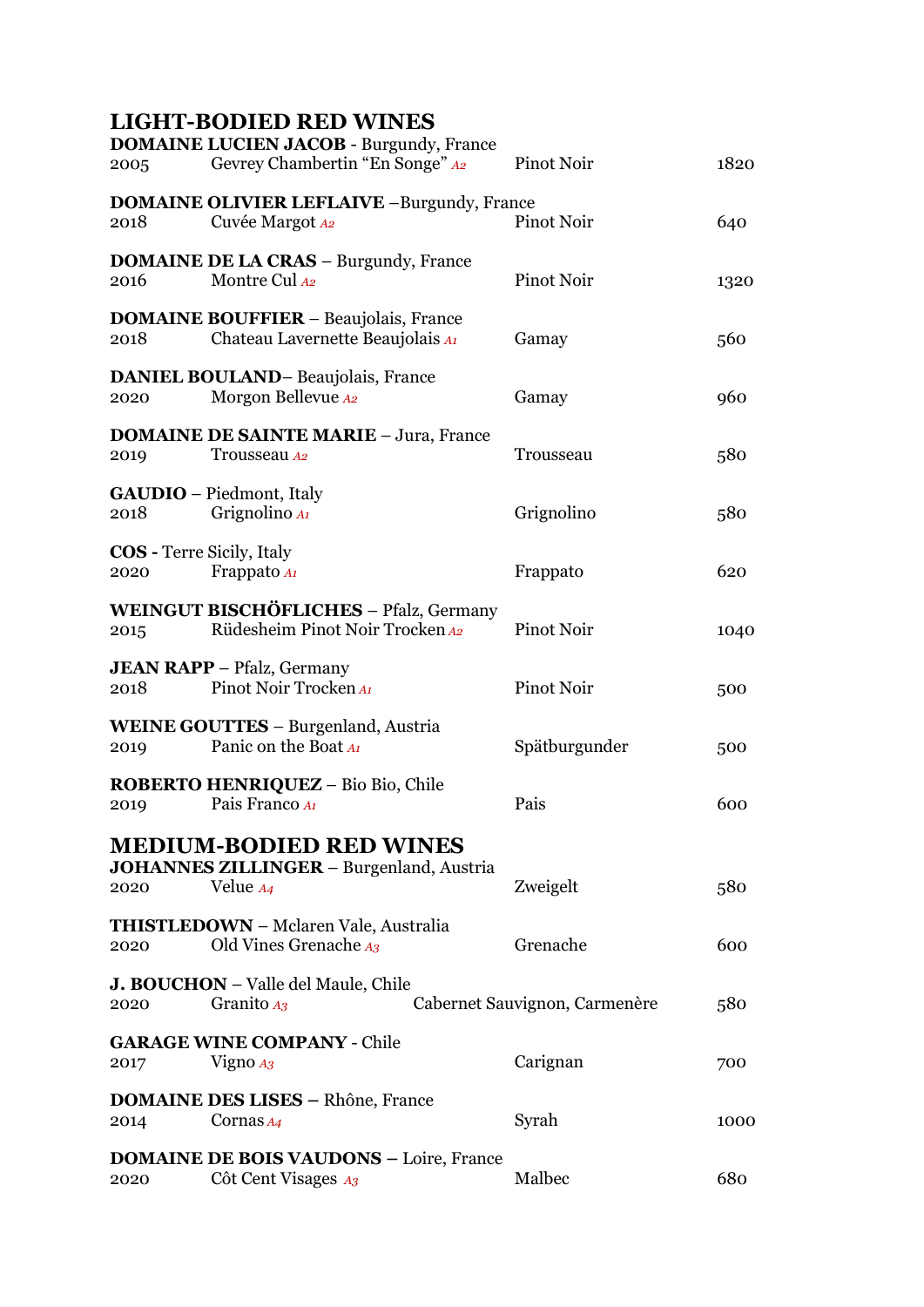# **LIGHT-BODIED RED WINES**

| 2005                                     | <b>DOMAINE LUCIEN JACOB - Burgundy, France</b><br>Gevrey Chambertin "En Songe" A2                        | Pinot Noir                    | 1820 |
|------------------------------------------|----------------------------------------------------------------------------------------------------------|-------------------------------|------|
| 2018                                     | <b>DOMAINE OLIVIER LEFLAIVE -Burgundy, France</b><br>Cuvée Margot A2                                     | Pinot Noir                    | 640  |
| 2016                                     | <b>DOMAINE DE LA CRAS - Burgundy, France</b><br>Montre Cul A2                                            | Pinot Noir                    | 1320 |
| 2018                                     | <b>DOMAINE BOUFFIER - Beaujolais, France</b><br>Chateau Lavernette Beaujolais Al                         | Gamay                         | 560  |
| 2020                                     | <b>DANIEL BOULAND-Beaujolais, France</b><br>Morgon Bellevue A2                                           | Gamay                         | 960  |
| 2019                                     | <b>DOMAINE DE SAINTE MARIE - Jura, France</b><br>Trousseau A2                                            | Trousseau                     | 580  |
| 2018                                     | <b>GAUDIO</b> – Piedmont, Italy<br>Grignolino $A_I$                                                      | Grignolino                    | 580  |
| <b>COS</b> - Terre Sicily, Italy<br>2020 | Frappato A1                                                                                              | Frappato                      | 620  |
| 2015                                     | WEINGUT BISCHÖFLICHES - Pfalz, Germany<br>Rüdesheim Pinot Noir Trocken A2                                | Pinot Noir                    | 1040 |
| 2018                                     | <b>JEAN RAPP</b> - Pfalz, Germany<br>Pinot Noir Trocken Al                                               | Pinot Noir                    | 500  |
| 2019                                     | <b>WEINE GOUTTES - Burgenland, Austria</b><br>Panic on the Boat Al                                       | Spätburgunder                 | 500  |
| 2019                                     | ROBERTO HENRIQUEZ - Bio Bio, Chile<br>Pais Franco Al                                                     | Pais                          | 600  |
| 2020                                     | <b>MEDIUM-BODIED RED WINES</b><br><b>JOHANNES ZILLINGER - Burgenland, Austria</b><br>Velue <sub>A4</sub> | Zweigelt                      | 580  |
| 2020                                     | <b>THISTLEDOWN</b> - Mclaren Vale, Australia<br>Old Vines Grenache A3                                    | Grenache                      | 600  |
| 2020                                     | <b>J. BOUCHON</b> – Valle del Maule, Chile<br>Granito $A_3$                                              | Cabernet Sauvignon, Carmenère | 580  |
| 2017                                     | <b>GARAGE WINE COMPANY - Chile</b><br>Vigno $A_3$                                                        | Carignan                      | 700  |
| 2014                                     | <b>DOMAINE DES LISES - Rhône, France</b><br>Cornas $A_4$                                                 | Syrah                         | 1000 |
| 2020                                     | <b>DOMAINE DE BOIS VAUDONS - Loire, France</b><br>Côt Cent Visages A3                                    | Malbec                        | 680  |